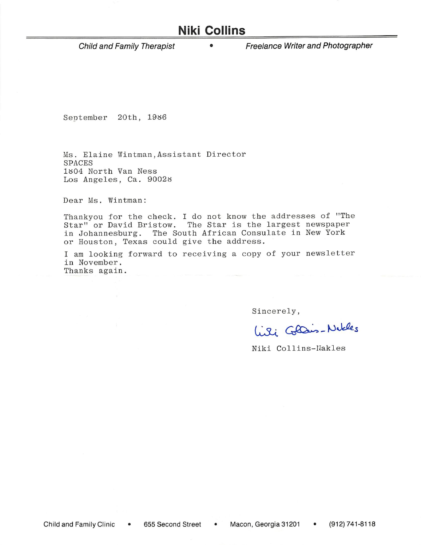## **Niki Collins**

Child and Family Therapist

Freelance Writer and Photographer

September 20th, 1986

Ms. Elaine Wintman, Assistant Director SPACES 1804 North Van Ness Los Angeles, Ca. 90028

Dear Ms. Wintman:

Thankyou for the check. I do not know the addresses of "The Star" or David Bristow. The Star is the largest newspaper in Johannesburg. The South African Consulate in New York or Houston, Texas could give the address.

I am looking forward to receiving a copy of your newsletter in November. Thanks again.

Sincerely,

Liki Glais-Notles

Niki Collins-Nakles